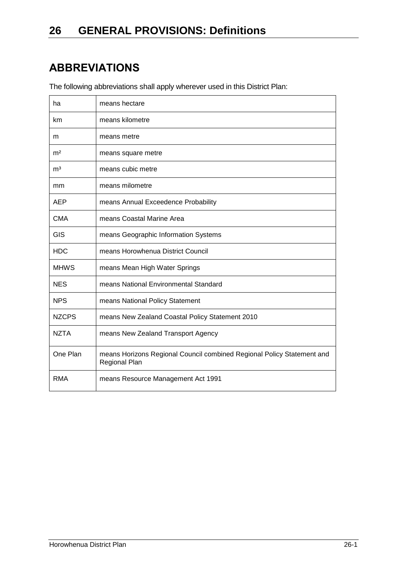# **ABBREVIATIONS**

The following abbreviations shall apply wherever used in this District Plan:

| ha             | means hectare                                                                           |
|----------------|-----------------------------------------------------------------------------------------|
| km             | means kilometre                                                                         |
| m              | means metre                                                                             |
| m <sup>2</sup> | means square metre                                                                      |
| m <sup>3</sup> | means cubic metre                                                                       |
| mm             | means milometre                                                                         |
| <b>AEP</b>     | means Annual Exceedence Probability                                                     |
| <b>CMA</b>     | means Coastal Marine Area                                                               |
| GIS            | means Geographic Information Systems                                                    |
| <b>HDC</b>     | means Horowhenua District Council                                                       |
| <b>MHWS</b>    | means Mean High Water Springs                                                           |
| <b>NES</b>     | means National Environmental Standard                                                   |
| <b>NPS</b>     | means National Policy Statement                                                         |
| <b>NZCPS</b>   | means New Zealand Coastal Policy Statement 2010                                         |
| <b>NZTA</b>    | means New Zealand Transport Agency                                                      |
| One Plan       | means Horizons Regional Council combined Regional Policy Statement and<br>Regional Plan |
| <b>RMA</b>     | means Resource Management Act 1991                                                      |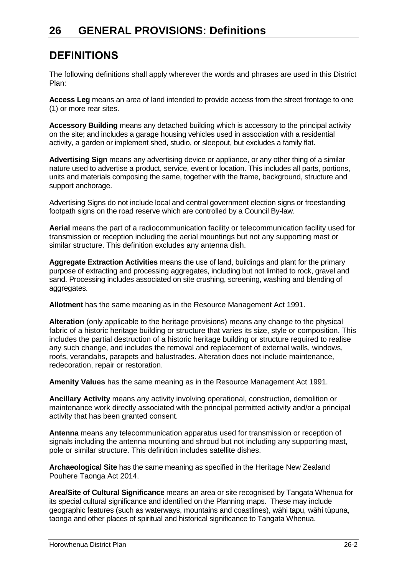#### **DEFINITIONS**

The following definitions shall apply wherever the words and phrases are used in this District Plan:

**Access Leg** means an area of land intended to provide access from the street frontage to one (1) or more rear sites.

**Accessory Building** means any detached building which is accessory to the principal activity on the site; and includes a garage housing vehicles used in association with a residential activity, a garden or implement shed, studio, or sleepout, but excludes a family flat.

**Advertising Sign** means any advertising device or appliance, or any other thing of a similar nature used to advertise a product, service, event or location. This includes all parts, portions, units and materials composing the same, together with the frame, background, structure and support anchorage.

Advertising Signs do not include local and central government election signs or freestanding footpath signs on the road reserve which are controlled by a Council By-law.

**Aerial** means the part of a radiocommunication facility or telecommunication facility used for transmission or reception including the aerial mountings but not any supporting mast or similar structure. This definition excludes any antenna dish.

**Aggregate Extraction Activities** means the use of land, buildings and plant for the primary purpose of extracting and processing aggregates, including but not limited to rock, gravel and sand. Processing includes associated on site crushing, screening, washing and blending of aggregates.

**Allotment** has the same meaning as in the Resource Management Act 1991.

**Alteration** (only applicable to the heritage provisions) means any change to the physical fabric of a historic heritage building or structure that varies its size, style or composition. This includes the partial destruction of a historic heritage building or structure required to realise any such change, and includes the removal and replacement of external walls, windows, roofs, verandahs, parapets and balustrades. Alteration does not include maintenance, redecoration, repair or restoration.

**Amenity Values** has the same meaning as in the Resource Management Act 1991.

**Ancillary Activity** means any activity involving operational, construction, demolition or maintenance work directly associated with the principal permitted activity and/or a principal activity that has been granted consent.

**Antenna** means any telecommunication apparatus used for transmission or reception of signals including the antenna mounting and shroud but not including any supporting mast, pole or similar structure. This definition includes satellite dishes.

**Archaeological Site** has the same meaning as specified in the Heritage New Zealand Pouhere Taonga Act 2014.

**Area/Site of Cultural Significance** means an area or site recognised by Tangata Whenua for its special cultural significance and identified on the Planning maps. These may include geographic features (such as waterways, mountains and coastlines), wāhi tapu, wāhi tūpuna, taonga and other places of spiritual and historical significance to Tangata Whenua.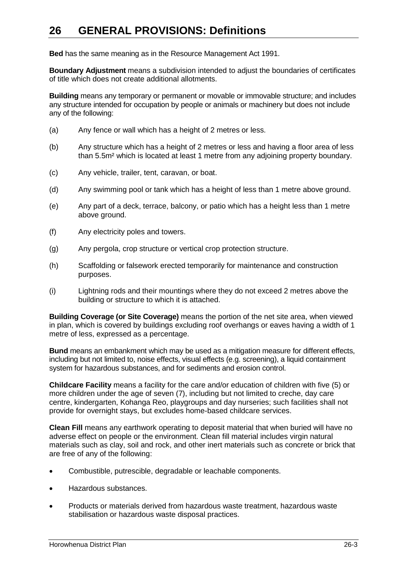**Bed** has the same meaning as in the Resource Management Act 1991.

**Boundary Adjustment** means a subdivision intended to adjust the boundaries of certificates of title which does not create additional allotments.

**Building** means any temporary or permanent or movable or immovable structure; and includes any structure intended for occupation by people or animals or machinery but does not include any of the following:

- (a) Any fence or wall which has a height of 2 metres or less.
- (b) Any structure which has a height of 2 metres or less and having a floor area of less than 5.5m² which is located at least 1 metre from any adjoining property boundary.
- (c) Any vehicle, trailer, tent, caravan, or boat.
- (d) Any swimming pool or tank which has a height of less than 1 metre above ground.
- (e) Any part of a deck, terrace, balcony, or patio which has a height less than 1 metre above ground.
- (f) Any electricity poles and towers.
- (g) Any pergola, crop structure or vertical crop protection structure.
- (h) Scaffolding or falsework erected temporarily for maintenance and construction purposes.
- (i) Lightning rods and their mountings where they do not exceed 2 metres above the building or structure to which it is attached.

**Building Coverage (or Site Coverage)** means the portion of the net site area, when viewed in plan, which is covered by buildings excluding roof overhangs or eaves having a width of 1 metre of less, expressed as a percentage.

**Bund** means an embankment which may be used as a mitigation measure for different effects, including but not limited to, noise effects, visual effects (e.g. screening), a liquid containment system for hazardous substances, and for sediments and erosion control.

**Childcare Facility** means a facility for the care and/or education of children with five (5) or more children under the age of seven (7), including but not limited to creche, day care centre, kindergarten, Kohanga Reo, playgroups and day nurseries; such facilities shall not provide for overnight stays, but excludes home-based childcare services.

**Clean Fill** means any earthwork operating to deposit material that when buried will have no adverse effect on people or the environment. Clean fill material includes virgin natural materials such as clay, soil and rock, and other inert materials such as concrete or brick that are free of any of the following:

- Combustible, putrescible, degradable or leachable components.
- Hazardous substances.
- Products or materials derived from hazardous waste treatment, hazardous waste stabilisation or hazardous waste disposal practices.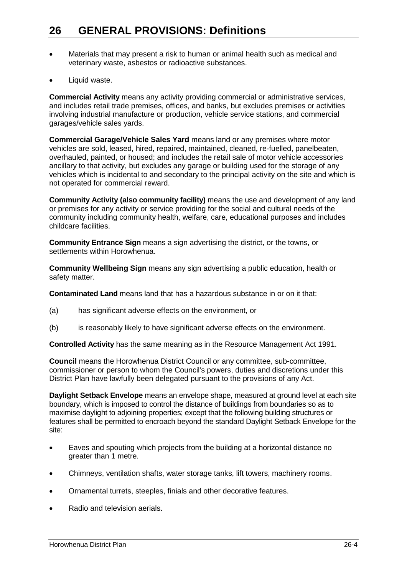- Materials that may present a risk to human or animal health such as medical and veterinary waste, asbestos or radioactive substances.
- Liquid waste.

**Commercial Activity** means any activity providing commercial or administrative services, and includes retail trade premises, offices, and banks, but excludes premises or activities involving industrial manufacture or production, vehicle service stations, and commercial garages/vehicle sales yards.

**Commercial Garage/Vehicle Sales Yard** means land or any premises where motor vehicles are sold, leased, hired, repaired, maintained, cleaned, re-fuelled, panelbeaten, overhauled, painted, or housed; and includes the retail sale of motor vehicle accessories ancillary to that activity, but excludes any garage or building used for the storage of any vehicles which is incidental to and secondary to the principal activity on the site and which is not operated for commercial reward.

**Community Activity (also community facility)** means the use and development of any land or premises for any activity or service providing for the social and cultural needs of the community including community health, welfare, care, educational purposes and includes childcare facilities.

**Community Entrance Sign** means a sign advertising the district, or the towns, or settlements within Horowhenua.

**Community Wellbeing Sign** means any sign advertising a public education, health or safety matter.

**Contaminated Land** means land that has a hazardous substance in or on it that:

- (a) has significant adverse effects on the environment, or
- (b) is reasonably likely to have significant adverse effects on the environment.

**Controlled Activity** has the same meaning as in the Resource Management Act 1991.

**Council** means the Horowhenua District Council or any committee, sub-committee, commissioner or person to whom the Council's powers, duties and discretions under this District Plan have lawfully been delegated pursuant to the provisions of any Act.

**Daylight Setback Envelope** means an envelope shape, measured at ground level at each site boundary, which is imposed to control the distance of buildings from boundaries so as to maximise daylight to adjoining properties; except that the following building structures or features shall be permitted to encroach beyond the standard Daylight Setback Envelope for the site:

- Eaves and spouting which projects from the building at a horizontal distance no greater than 1 metre.
- Chimneys, ventilation shafts, water storage tanks, lift towers, machinery rooms.
- Ornamental turrets, steeples, finials and other decorative features.
- Radio and television aerials.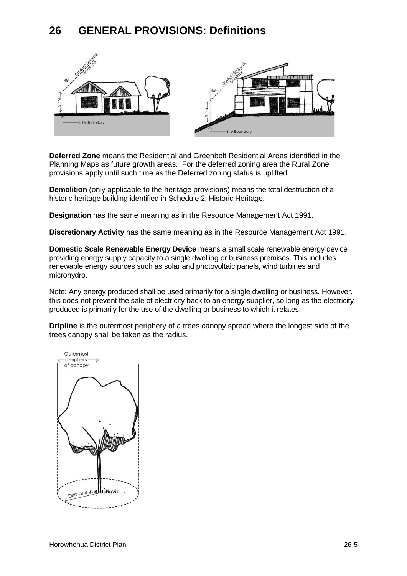

**Deferred Zone** means the Residential and Greenbelt Residential Areas identified in the Planning Maps as future growth areas. For the deferred zoning area the Rural Zone provisions apply until such time as the Deferred zoning status is uplifted.

**Demolition** (only applicable to the heritage provisions) means the total destruction of a historic heritage building identified in Schedule 2: Historic Heritage.

**Designation** has the same meaning as in the Resource Management Act 1991.

**Discretionary Activity** has the same meaning as in the Resource Management Act 1991.

**Domestic Scale Renewable Energy Device** means a small scale renewable energy device providing energy supply capacity to a single dwelling or business premises. This includes renewable energy sources such as solar and photovoltaic panels, wind turbines and microhydro.

Note: Any energy produced shall be used primarily for a single dwelling or business. However, this does not prevent the sale of electricity back to an energy supplier, so long as the electricity produced is primarily for the use of the dwelling or business to which it relates.

**Dripline** is the outermost periphery of a trees canopy spread where the longest side of the trees canopy shall be taken as the radius.

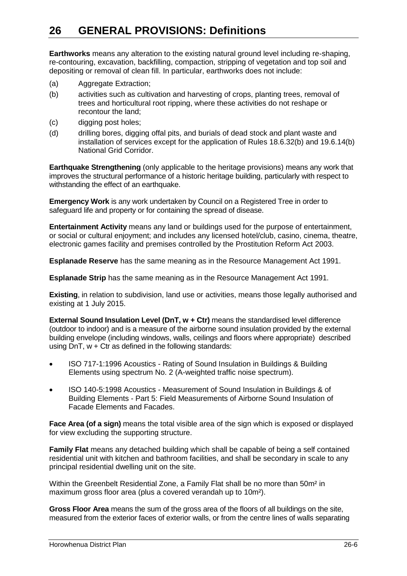**Earthworks** means any alteration to the existing natural ground level including re-shaping, re-contouring, excavation, backfilling, compaction, stripping of vegetation and top soil and depositing or removal of clean fill. In particular, earthworks does not include:

- (a) Aggregate Extraction;
- (b) activities such as cultivation and harvesting of crops, planting trees, removal of trees and horticultural root ripping, where these activities do not reshape or recontour the land;
- (c) digging post holes;
- (d) drilling bores, digging offal pits, and burials of dead stock and plant waste and installation of services except for the application of Rules 18.6.32(b) and 19.6.14(b) National Grid Corridor.

**Earthquake Strengthening** (only applicable to the heritage provisions) means any work that improves the structural performance of a historic heritage building, particularly with respect to withstanding the effect of an earthquake.

**Emergency Work** is any work undertaken by Council on a Registered Tree in order to safeguard life and property or for containing the spread of disease.

**Entertainment Activity** means any land or buildings used for the purpose of entertainment, or social or cultural enjoyment; and includes any licensed hotel/club, casino, cinema, theatre, electronic games facility and premises controlled by the Prostitution Reform Act 2003.

**Esplanade Reserve** has the same meaning as in the Resource Management Act 1991.

**Esplanade Strip** has the same meaning as in the Resource Management Act 1991.

**Existing**, in relation to subdivision, land use or activities, means those legally authorised and existing at 1 July 2015.

**External Sound Insulation Level (DnT, w + Ctr)** means the standardised level difference (outdoor to indoor) and is a measure of the airborne sound insulation provided by the external building envelope (including windows, walls, ceilings and floors where appropriate) described using DnT,  $w +$  Ctr as defined in the following standards:

- ISO 717-1:1996 Acoustics Rating of Sound Insulation in Buildings & Building Elements using spectrum No. 2 (A-weighted traffic noise spectrum).
- ISO 140-5:1998 Acoustics Measurement of Sound Insulation in Buildings & of Building Elements - Part 5: Field Measurements of Airborne Sound Insulation of Facade Elements and Facades.

**Face Area (of a sign)** means the total visible area of the sign which is exposed or displayed for view excluding the supporting structure.

**Family Flat** means any detached building which shall be capable of being a self contained residential unit with kitchen and bathroom facilities, and shall be secondary in scale to any principal residential dwelling unit on the site.

Within the Greenbelt Residential Zone, a Family Flat shall be no more than 50m² in maximum gross floor area (plus a covered verandah up to 10m²).

**Gross Floor Area** means the sum of the gross area of the floors of all buildings on the site, measured from the exterior faces of exterior walls, or from the centre lines of walls separating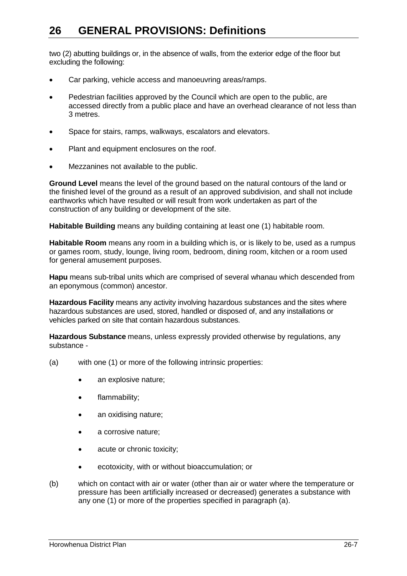two (2) abutting buildings or, in the absence of walls, from the exterior edge of the floor but excluding the following:

- Car parking, vehicle access and manoeuvring areas/ramps.
- Pedestrian facilities approved by the Council which are open to the public, are accessed directly from a public place and have an overhead clearance of not less than 3 metres.
- Space for stairs, ramps, walkways, escalators and elevators.
- Plant and equipment enclosures on the roof.
- Mezzanines not available to the public.

**Ground Level** means the level of the ground based on the natural contours of the land or the finished level of the ground as a result of an approved subdivision, and shall not include earthworks which have resulted or will result from work undertaken as part of the construction of any building or development of the site.

**Habitable Building** means any building containing at least one (1) habitable room.

**Habitable Room** means any room in a building which is, or is likely to be, used as a rumpus or games room, study, lounge, living room, bedroom, dining room, kitchen or a room used for general amusement purposes.

**Hapu** means sub-tribal units which are comprised of several whanau which descended from an eponymous (common) ancestor.

**Hazardous Facility** means any activity involving hazardous substances and the sites where hazardous substances are used, stored, handled or disposed of, and any installations or vehicles parked on site that contain hazardous substances.

**Hazardous Substance** means, unless expressly provided otherwise by regulations, any substance -

- (a) with one (1) or more of the following intrinsic properties:
	- an explosive nature;
	- flammability;
	- an oxidising nature;
	- a corrosive nature;
	- acute or chronic toxicity;
	- ecotoxicity, with or without bioaccumulation; or
- (b) which on contact with air or water (other than air or water where the temperature or pressure has been artificially increased or decreased) generates a substance with any one (1) or more of the properties specified in paragraph (a).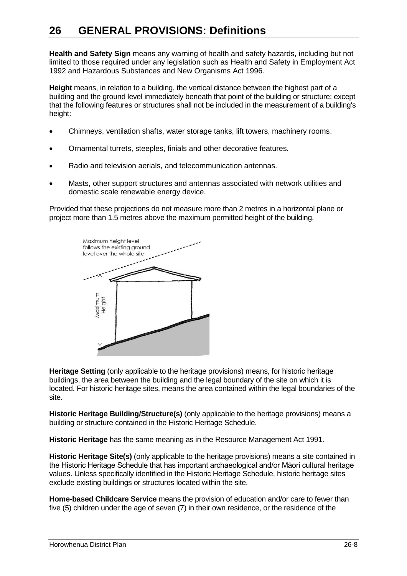**Health and Safety Sign** means any warning of health and safety hazards, including but not limited to those required under any legislation such as Health and Safety in Employment Act 1992 and Hazardous Substances and New Organisms Act 1996.

**Height** means, in relation to a building, the vertical distance between the highest part of a building and the ground level immediately beneath that point of the building or structure; except that the following features or structures shall not be included in the measurement of a building's height:

- Chimneys, ventilation shafts, water storage tanks, lift towers, machinery rooms.
- Ornamental turrets, steeples, finials and other decorative features.
- Radio and television aerials, and telecommunication antennas.
- Masts, other support structures and antennas associated with network utilities and domestic scale renewable energy device.

Provided that these projections do not measure more than 2 metres in a horizontal plane or project more than 1.5 metres above the maximum permitted height of the building.



**Heritage Setting** (only applicable to the heritage provisions) means, for historic heritage buildings, the area between the building and the legal boundary of the site on which it is located. For historic heritage sites, means the area contained within the legal boundaries of the site.

**Historic Heritage Building/Structure(s)** (only applicable to the heritage provisions) means a building or structure contained in the Historic Heritage Schedule.

**Historic Heritage** has the same meaning as in the Resource Management Act 1991.

**Historic Heritage Site(s)** (only applicable to the heritage provisions) means a site contained in the Historic Heritage Schedule that has important archaeological and/or Māori cultural heritage values. Unless specifically identified in the Historic Heritage Schedule, historic heritage sites exclude existing buildings or structures located within the site.

**Home-based Childcare Service** means the provision of education and/or care to fewer than five (5) children under the age of seven (7) in their own residence, or the residence of the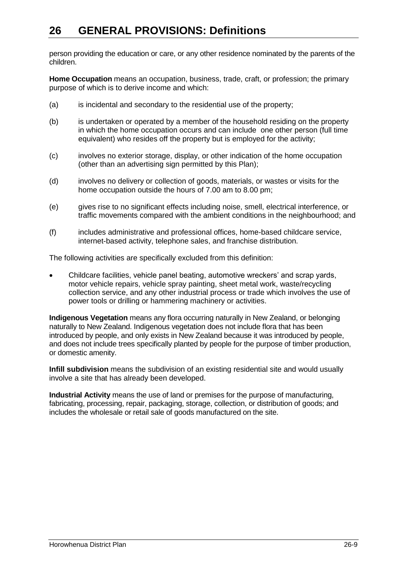person providing the education or care, or any other residence nominated by the parents of the children.

**Home Occupation** means an occupation, business, trade, craft, or profession; the primary purpose of which is to derive income and which:

- (a) is incidental and secondary to the residential use of the property;
- (b) is undertaken or operated by a member of the household residing on the property in which the home occupation occurs and can include one other person (full time equivalent) who resides off the property but is employed for the activity;
- (c) involves no exterior storage, display, or other indication of the home occupation (other than an advertising sign permitted by this Plan);
- (d) involves no delivery or collection of goods, materials, or wastes or visits for the home occupation outside the hours of 7.00 am to 8.00 pm;
- (e) gives rise to no significant effects including noise, smell, electrical interference, or traffic movements compared with the ambient conditions in the neighbourhood; and
- (f) includes administrative and professional offices, home-based childcare service, internet-based activity, telephone sales, and franchise distribution.

The following activities are specifically excluded from this definition:

 Childcare facilities, vehicle panel beating, automotive wreckers' and scrap yards, motor vehicle repairs, vehicle spray painting, sheet metal work, waste/recycling collection service, and any other industrial process or trade which involves the use of power tools or drilling or hammering machinery or activities.

**Indigenous Vegetation** means any flora occurring naturally in New Zealand, or belonging naturally to New Zealand. Indigenous vegetation does not include flora that has been introduced by people, and only exists in New Zealand because it was introduced by people, and does not include trees specifically planted by people for the purpose of timber production, or domestic amenity.

**Infill subdivision** means the subdivision of an existing residential site and would usually involve a site that has already been developed.

**Industrial Activity** means the use of land or premises for the purpose of manufacturing, fabricating, processing, repair, packaging, storage, collection, or distribution of goods; and includes the wholesale or retail sale of goods manufactured on the site.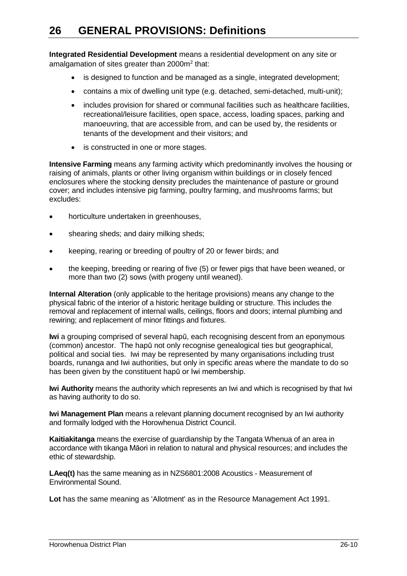**Integrated Residential Development** means a residential development on any site or amalgamation of sites greater than 2000m<sup>2</sup> that:

- is designed to function and be managed as a single, integrated development;
- contains a mix of dwelling unit type (e.g. detached, semi-detached, multi-unit);
- includes provision for shared or communal facilities such as healthcare facilities, recreational/leisure facilities, open space, access, loading spaces, parking and manoeuvring, that are accessible from, and can be used by, the residents or tenants of the development and their visitors; and
- is constructed in one or more stages.

**Intensive Farming** means any farming activity which predominantly involves the housing or raising of animals, plants or other living organism within buildings or in closely fenced enclosures where the stocking density precludes the maintenance of pasture or ground cover; and includes intensive pig farming, poultry farming, and mushrooms farms; but excludes:

- horticulture undertaken in greenhouses,
- shearing sheds; and dairy milking sheds;
- keeping, rearing or breeding of poultry of 20 or fewer birds; and
- the keeping, breeding or rearing of five (5) or fewer pigs that have been weaned, or more than two (2) sows (with progeny until weaned).

**Internal Alteration** (only applicable to the heritage provisions) means any change to the physical fabric of the interior of a historic heritage building or structure. This includes the removal and replacement of internal walls, ceilings, floors and doors; internal plumbing and rewiring; and replacement of minor fittings and fixtures.

**Iwi** a grouping comprised of several hapū, each recognising descent from an eponymous (common) ancestor. The hapū not only recognise genealogical ties but geographical, political and social ties. Iwi may be represented by many organisations including trust boards, runanga and Iwi authorities, but only in specific areas where the mandate to do so has been given by the constituent hapū or Iwi membership.

**Iwi Authority** means the authority which represents an Iwi and which is recognised by that Iwi as having authority to do so.

**Iwi Management Plan** means a relevant planning document recognised by an Iwi authority and formally lodged with the Horowhenua District Council.

**Kaitiakitanga** means the exercise of guardianship by the Tangata Whenua of an area in accordance with tikanga Māori in relation to natural and physical resources; and includes the ethic of stewardship.

**LAeq(t)** has the same meaning as in NZS6801:2008 Acoustics - Measurement of Environmental Sound.

**Lot** has the same meaning as 'Allotment' as in the Resource Management Act 1991.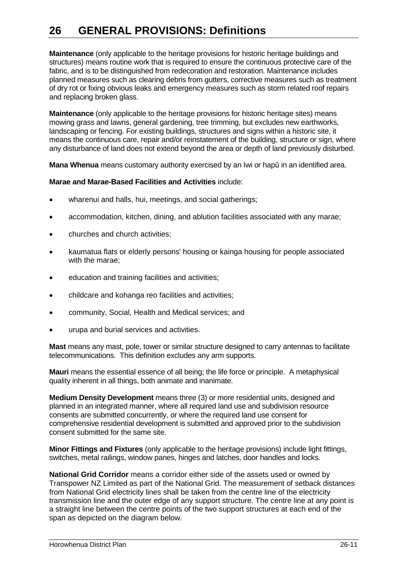**Maintenance** (only applicable to the heritage provisions for historic heritage buildings and structures) means routine work that is required to ensure the continuous protective care of the fabric, and is to be distinguished from redecoration and restoration. Maintenance includes planned measures such as clearing debris from gutters, corrective measures such as treatment of dry rot or fixing obvious leaks and emergency measures such as storm related roof repairs and replacing broken glass.

**Maintenance** (only applicable to the heritage provisions for historic heritage sites) means mowing grass and lawns, general gardening, tree trimming, but excludes new earthworks, landscaping or fencing. For existing buildings, structures and signs within a historic site, it means the continuous care, repair and/or reinstatement of the building, structure or sign, where any disturbance of land does not extend beyond the area or depth of land previously disturbed.

**Mana Whenua** means customary authority exercised by an Iwi or hapū in an identified area.

#### **Marae and Marae-Based Facilities and Activities** include:

- wharenui and halls, hui, meetings, and social gatherings;
- accommodation, kitchen, dining, and ablution facilities associated with any marae;
- churches and church activities;
- kaumatua flats or elderly persons' housing or kainga housing for people associated with the marae;
- education and training facilities and activities;
- childcare and kohanga reo facilities and activities;
- community, Social, Health and Medical services; and
- urupa and burial services and activities.

**Mast** means any mast, pole, tower or similar structure designed to carry antennas to facilitate telecommunications. This definition excludes any arm supports.

**Mauri** means the essential essence of all being; the life force or principle. A metaphysical quality inherent in all things, both animate and inanimate.

**Medium Density Development** means three (3) or more residential units, designed and planned in an integrated manner, where all required land use and subdivision resource consents are submitted concurrently, or where the required land use consent for comprehensive residential development is submitted and approved prior to the subdivision consent submitted for the same site.

**Minor Fittings and Fixtures** (only applicable to the heritage provisions) include light fittings, switches, metal railings, window panes, hinges and latches, door handles and locks.

**National Grid Corridor** means a corridor either side of the assets used or owned by Transpower NZ Limited as part of the National Grid. The measurement of setback distances from National Grid electricity lines shall be taken from the centre line of the electricity transmission line and the outer edge of any support structure. The centre line at any point is a straight line between the centre points of the two support structures at each end of the span as depicted on the diagram below.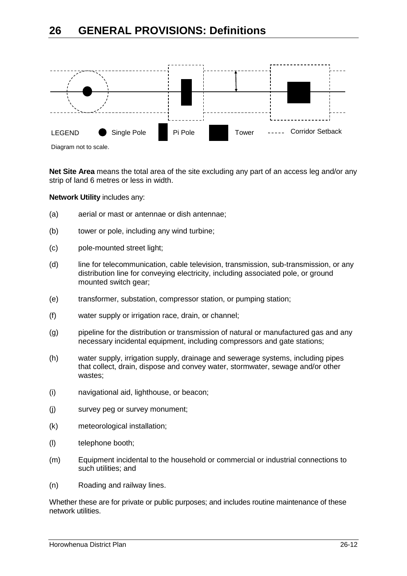



**Net Site Area** means the total area of the site excluding any part of an access leg and/or any strip of land 6 metres or less in width.

**Network Utility** includes any:

- (a) aerial or mast or antennae or dish antennae;
- (b) tower or pole, including any wind turbine;
- (c) pole-mounted street light;
- (d) line for telecommunication, cable television, transmission, sub-transmission, or any distribution line for conveying electricity, including associated pole, or ground mounted switch gear;
- (e) transformer, substation, compressor station, or pumping station;
- (f) water supply or irrigation race, drain, or channel;
- (g) pipeline for the distribution or transmission of natural or manufactured gas and any necessary incidental equipment, including compressors and gate stations;
- (h) water supply, irrigation supply, drainage and sewerage systems, including pipes that collect, drain, dispose and convey water, stormwater, sewage and/or other wastes;
- (i) navigational aid, lighthouse, or beacon;
- (j) survey peg or survey monument;
- (k) meteorological installation;
- (l) telephone booth;
- (m) Equipment incidental to the household or commercial or industrial connections to such utilities; and
- (n) Roading and railway lines.

Whether these are for private or public purposes; and includes routine maintenance of these network utilities.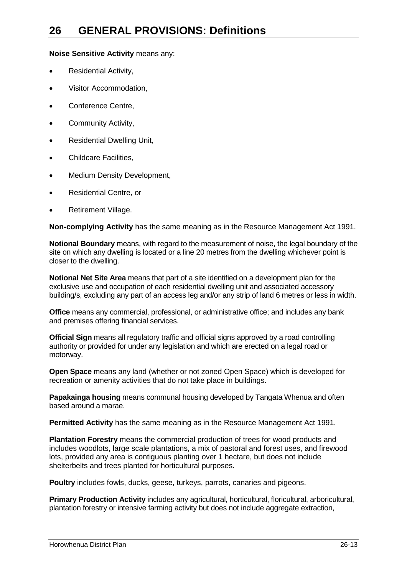**Noise Sensitive Activity** means any:

- Residential Activity,
- Visitor Accommodation,
- Conference Centre,
- Community Activity,
- Residential Dwelling Unit,
- Childcare Facilities.
- Medium Density Development,
- Residential Centre, or
- Retirement Village.

**Non-complying Activity** has the same meaning as in the Resource Management Act 1991.

**Notional Boundary** means, with regard to the measurement of noise, the legal boundary of the site on which any dwelling is located or a line 20 metres from the dwelling whichever point is closer to the dwelling.

**Notional Net Site Area** means that part of a site identified on a development plan for the exclusive use and occupation of each residential dwelling unit and associated accessory building/s, excluding any part of an access leg and/or any strip of land 6 metres or less in width.

**Office** means any commercial, professional, or administrative office; and includes any bank and premises offering financial services.

**Official Sign** means all regulatory traffic and official signs approved by a road controlling authority or provided for under any legislation and which are erected on a legal road or motorway.

**Open Space** means any land (whether or not zoned Open Space) which is developed for recreation or amenity activities that do not take place in buildings.

**Papakainga housing** means communal housing developed by Tangata Whenua and often based around a marae.

**Permitted Activity** has the same meaning as in the Resource Management Act 1991.

**Plantation Forestry** means the commercial production of trees for wood products and includes woodlots, large scale plantations, a mix of pastoral and forest uses, and firewood lots, provided any area is contiguous planting over 1 hectare, but does not include shelterbelts and trees planted for horticultural purposes.

**Poultry** includes fowls, ducks, geese, turkeys, parrots, canaries and pigeons.

**Primary Production Activity** includes any agricultural, horticultural, floricultural, arboricultural, plantation forestry or intensive farming activity but does not include aggregate extraction,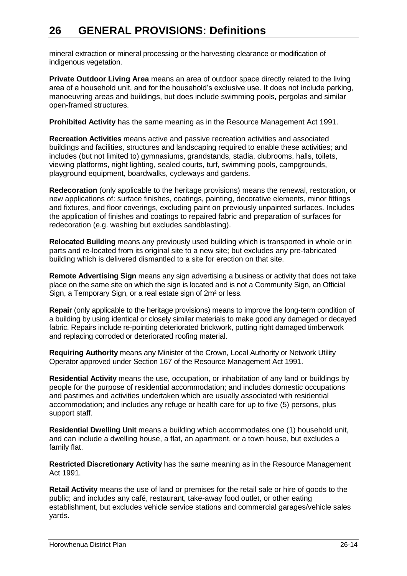mineral extraction or mineral processing or the harvesting clearance or modification of indigenous vegetation.

**Private Outdoor Living Area** means an area of outdoor space directly related to the living area of a household unit, and for the household's exclusive use. It does not include parking, manoeuvring areas and buildings, but does include swimming pools, pergolas and similar open-framed structures.

**Prohibited Activity** has the same meaning as in the Resource Management Act 1991.

**Recreation Activities** means active and passive recreation activities and associated buildings and facilities, structures and landscaping required to enable these activities; and includes (but not limited to) gymnasiums, grandstands, stadia, clubrooms, halls, toilets, viewing platforms, night lighting, sealed courts, turf, swimming pools, campgrounds, playground equipment, boardwalks, cycleways and gardens.

**Redecoration** (only applicable to the heritage provisions) means the renewal, restoration, or new applications of: surface finishes, coatings, painting, decorative elements, minor fittings and fixtures, and floor coverings, excluding paint on previously unpainted surfaces. Includes the application of finishes and coatings to repaired fabric and preparation of surfaces for redecoration (e.g. washing but excludes sandblasting).

**Relocated Building** means any previously used building which is transported in whole or in parts and re-located from its original site to a new site; but excludes any pre-fabricated building which is delivered dismantled to a site for erection on that site.

**Remote Advertising Sign** means any sign advertising a business or activity that does not take place on the same site on which the sign is located and is not a Community Sign, an Official Sign, a Temporary Sign, or a real estate sign of 2m² or less.

**Repair** (only applicable to the heritage provisions) means to improve the long-term condition of a building by using identical or closely similar materials to make good any damaged or decayed fabric. Repairs include re-pointing deteriorated brickwork, putting right damaged timberwork and replacing corroded or deteriorated roofing material.

**Requiring Authority** means any Minister of the Crown, Local Authority or Network Utility Operator approved under Section 167 of the Resource Management Act 1991.

**Residential Activity** means the use, occupation, or inhabitation of any land or buildings by people for the purpose of residential accommodation; and includes domestic occupations and pastimes and activities undertaken which are usually associated with residential accommodation; and includes any refuge or health care for up to five (5) persons, plus support staff.

**Residential Dwelling Unit** means a building which accommodates one (1) household unit, and can include a dwelling house, a flat, an apartment, or a town house, but excludes a family flat.

**Restricted Discretionary Activity** has the same meaning as in the Resource Management Act 1991.

**Retail Activity** means the use of land or premises for the retail sale or hire of goods to the public; and includes any café, restaurant, take-away food outlet, or other eating establishment, but excludes vehicle service stations and commercial garages/vehicle sales yards.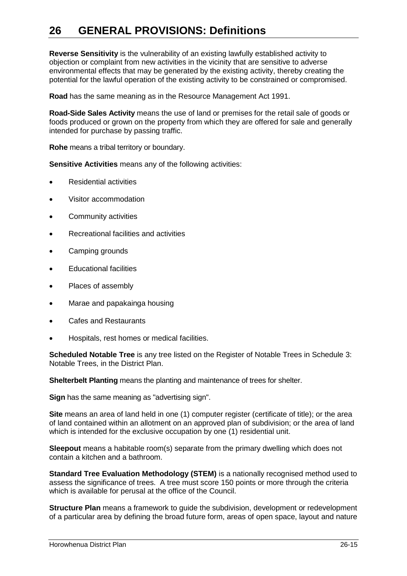**Reverse Sensitivity** is the vulnerability of an existing lawfully established activity to objection or complaint from new activities in the vicinity that are sensitive to adverse environmental effects that may be generated by the existing activity, thereby creating the potential for the lawful operation of the existing activity to be constrained or compromised.

**Road** has the same meaning as in the Resource Management Act 1991.

**Road-Side Sales Activity** means the use of land or premises for the retail sale of goods or foods produced or grown on the property from which they are offered for sale and generally intended for purchase by passing traffic.

**Rohe** means a tribal territory or boundary.

**Sensitive Activities** means any of the following activities:

- Residential activities
- Visitor accommodation
- Community activities
- Recreational facilities and activities
- Camping grounds
- Educational facilities
- Places of assembly
- Marae and papakainga housing
- Cafes and Restaurants
- Hospitals, rest homes or medical facilities.

**Scheduled Notable Tree** is any tree listed on the Register of Notable Trees in Schedule 3: Notable Trees, in the District Plan.

**Shelterbelt Planting** means the planting and maintenance of trees for shelter.

**Sign** has the same meaning as "advertising sign".

**Site** means an area of land held in one (1) computer register (certificate of title); or the area of land contained within an allotment on an approved plan of subdivision; or the area of land which is intended for the exclusive occupation by one (1) residential unit.

**Sleepout** means a habitable room(s) separate from the primary dwelling which does not contain a kitchen and a bathroom.

**Standard Tree Evaluation Methodology (STEM)** is a nationally recognised method used to assess the significance of trees. A tree must score 150 points or more through the criteria which is available for perusal at the office of the Council.

**Structure Plan** means a framework to guide the subdivision, development or redevelopment of a particular area by defining the broad future form, areas of open space, layout and nature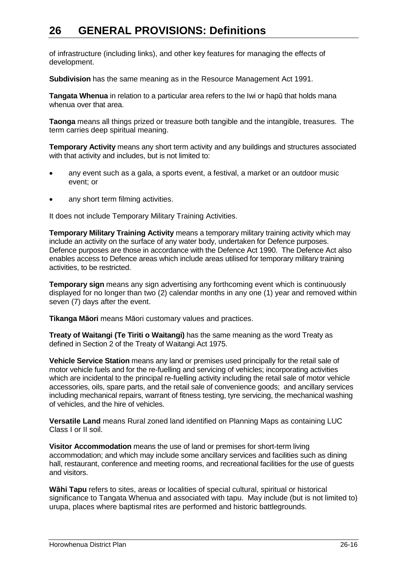of infrastructure (including links), and other key features for managing the effects of development.

**Subdivision** has the same meaning as in the Resource Management Act 1991.

**Tangata Whenua** in relation to a particular area refers to the Iwi or hapū that holds mana whenua over that area.

**Taonga** means all things prized or treasure both tangible and the intangible, treasures. The term carries deep spiritual meaning.

**Temporary Activity** means any short term activity and any buildings and structures associated with that activity and includes, but is not limited to:

- any event such as a gala, a sports event, a festival, a market or an outdoor music event; or
- any short term filming activities.

It does not include Temporary Military Training Activities.

**Temporary Military Training Activity** means a temporary military training activity which may include an activity on the surface of any water body, undertaken for Defence purposes. Defence purposes are those in accordance with the Defence Act 1990. The Defence Act also enables access to Defence areas which include areas utilised for temporary military training activities, to be restricted.

**Temporary sign** means any sign advertising any forthcoming event which is continuously displayed for no longer than two (2) calendar months in any one (1) year and removed within seven (7) days after the event.

**Tikanga Māori** means Māori customary values and practices.

**Treaty of Waitangi (Te Tiriti o Waitangi)** has the same meaning as the word Treaty as defined in Section 2 of the Treaty of Waitangi Act 1975.

**Vehicle Service Station** means any land or premises used principally for the retail sale of motor vehicle fuels and for the re-fuelling and servicing of vehicles; incorporating activities which are incidental to the principal re-fuelling activity including the retail sale of motor vehicle accessories, oils, spare parts, and the retail sale of convenience goods; and ancillary services including mechanical repairs, warrant of fitness testing, tyre servicing, the mechanical washing of vehicles, and the hire of vehicles.

**Versatile Land** means Rural zoned land identified on Planning Maps as containing LUC Class I or II soil.

**Visitor Accommodation** means the use of land or premises for short-term living accommodation; and which may include some ancillary services and facilities such as dining hall, restaurant, conference and meeting rooms, and recreational facilities for the use of guests and visitors.

**Wāhi Tapu** refers to sites, areas or localities of special cultural, spiritual or historical significance to Tangata Whenua and associated with tapu. May include (but is not limited to) urupa, places where baptismal rites are performed and historic battlegrounds.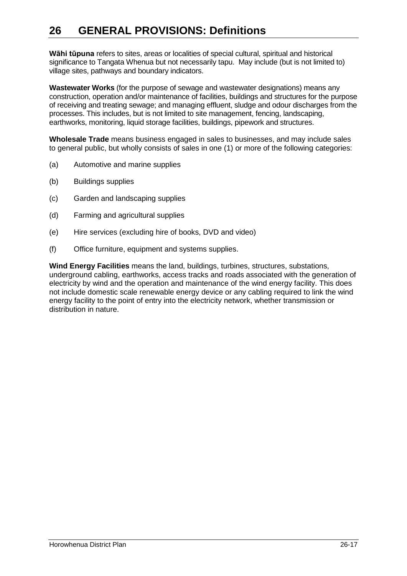**Wāhi tūpuna** refers to sites, areas or localities of special cultural, spiritual and historical significance to Tangata Whenua but not necessarily tapu. May include (but is not limited to) village sites, pathways and boundary indicators.

**Wastewater Works** (for the purpose of sewage and wastewater designations) means any construction, operation and/or maintenance of facilities, buildings and structures for the purpose of receiving and treating sewage; and managing effluent, sludge and odour discharges from the processes. This includes, but is not limited to site management, fencing, landscaping, earthworks, monitoring, liquid storage facilities, buildings, pipework and structures.

**Wholesale Trade** means business engaged in sales to businesses, and may include sales to general public, but wholly consists of sales in one (1) or more of the following categories:

- (a) Automotive and marine supplies
- (b) Buildings supplies
- (c) Garden and landscaping supplies
- (d) Farming and agricultural supplies
- (e) Hire services (excluding hire of books, DVD and video)
- (f) Office furniture, equipment and systems supplies.

**Wind Energy Facilities** means the land, buildings, turbines, structures, substations, underground cabling, earthworks, access tracks and roads associated with the generation of electricity by wind and the operation and maintenance of the wind energy facility. This does not include domestic scale renewable energy device or any cabling required to link the wind energy facility to the point of entry into the electricity network, whether transmission or distribution in nature.